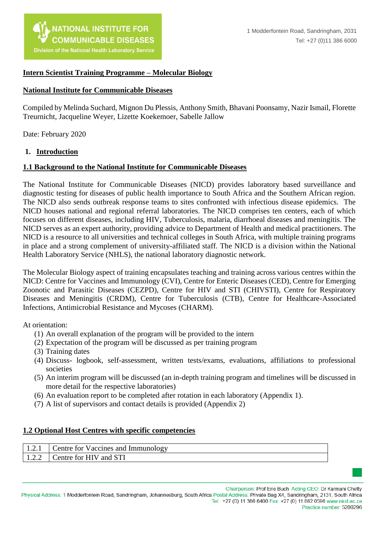

#### **Intern Scientist Training Programme – Molecular Biology**

#### **National Institute for Communicable Diseases**

Compiled by Melinda Suchard, Mignon Du Plessis, Anthony Smith, Bhavani Poonsamy, Nazir Ismail, Florette Treurnicht, Jacqueline Weyer, Lizette Koekemoer, Sabelle Jallow

Date: February 2020

#### **1. Introduction**

#### **1.1 Background to the National Institute for Communicable Diseases**

The National Institute for Communicable Diseases (NICD) provides laboratory based surveillance and diagnostic testing for diseases of public health importance to South Africa and the Southern African region. The NICD also sends outbreak response teams to sites confronted with infectious disease epidemics. The NICD houses national and regional referral laboratories. The NICD comprises ten centers, each of which focuses on different diseases, including HIV, Tuberculosis, malaria, diarrhoeal diseases and meningitis. The NICD serves as an expert authority, providing advice to Department of Health and medical practitioners. The NICD is a resource to all universities and technical colleges in South Africa, with multiple training programs in place and a strong complement of university-affiliated staff. The NICD is a division within the National Health Laboratory Service (NHLS), the national laboratory diagnostic network.

The Molecular Biology aspect of training encapsulates teaching and training across various centres within the NICD: Centre for Vaccines and Immunology (CVI), Centre for Enteric Diseases (CED), Centre for Emerging Zoonotic and Parasitic Diseases (CEZPD), Centre for HIV and STI (CHIVSTI), Centre for Respiratory Diseases and Meningitis (CRDM), Centre for Tuberculosis (CTB), Centre for Healthcare-Associated Infections, Antimicrobial Resistance and Mycoses (CHARM).

At orientation:

- (1) An overall explanation of the program will be provided to the intern
- (2) Expectation of the program will be discussed as per training program
- (3) Training dates
- (4) Discuss- logbook, self-assessment, written tests/exams, evaluations, affiliations to professional societies
- (5) An interim program will be discussed (an in-depth training program and timelines will be discussed in more detail for the respective laboratories)
- (6) An evaluation report to be completed after rotation in each laboratory (Appendix 1).
- (7) A list of supervisors and contact details is provided (Appendix 2)

#### **1.2 Optional Host Centres with specific competencies**

| Centre for Vaccines and Immunology |
|------------------------------------|
| Centre for HIV and STI             |

Chairperson: Prof Eric Buch Acting CEO: Dr Karmani Chetty

Physical Address: 1 Modderfontein Road, Sandringham, Johannesburg, South Africa Postal Address: Private Bag X4, Sandringham, 2131, South Africa Tel: +27 (0) 11 386 6400 Fax: +27 (0) 11 882 0596 www.nicd.ac.za Practice number: 5200296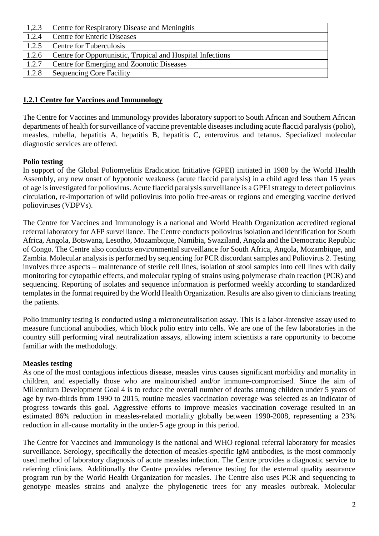| 1,2.3 | <b>Centre for Respiratory Disease and Meningitis</b>       |
|-------|------------------------------------------------------------|
| 1.2.4 | <b>Centre for Enteric Diseases</b>                         |
| 1.2.5 | <b>Centre for Tuberculosis</b>                             |
| 1.2.6 | Centre for Opportunistic, Tropical and Hospital Infections |
| 1.2.7 | Centre for Emerging and Zoonotic Diseases                  |
| 1.2.8 | <b>Sequencing Core Facility</b>                            |

#### **1.2.1 Centre for Vaccines and Immunology**

The Centre for Vaccines and Immunology provides laboratory support to South African and Southern African departments of health for surveillance of vaccine preventable diseases including acute flaccid paralysis (polio), measles, rubella, hepatitis A, hepatitis B, hepatitis C, enterovirus and tetanus. Specialized molecular diagnostic services are offered.

#### **Polio testing**

In support of the Global Poliomyelitis Eradication Initiative (GPEI) initiated in 1988 by the World Health Assembly, any new onset of hypotonic weakness (acute flaccid paralysis) in a child aged less than 15 years of age is investigated for poliovirus. Acute flaccid paralysis surveillance is a GPEI strategy to detect poliovirus circulation, re-importation of wild poliovirus into polio free-areas or regions and emerging vaccine derived polioviruses (VDPVs).

The Centre for Vaccines and Immunology is a national and World Health Organization accredited regional referral laboratory for AFP surveillance. The Centre conducts poliovirus isolation and identification for South Africa, Angola, Botswana, Lesotho, Mozambique, Namibia, Swaziland, Angola and the Democratic Republic of Congo. The Centre also conducts environmental surveillance for South Africa, Angola, Mozambique, and Zambia. Molecular analysis is performed by sequencing for PCR discordant samples and Poliovirus 2. Testing involves three aspects – maintenance of sterile cell lines, isolation of stool samples into cell lines with daily monitoring for cytopathic effects, and molecular typing of strains using polymerase chain reaction (PCR) and sequencing. Reporting of isolates and sequence information is performed weekly according to standardized templates in the format required by the World Health Organization. Results are also given to clinicians treating the patients.

Polio immunity testing is conducted using a microneutralisation assay. This is a labor-intensive assay used to measure functional antibodies, which block polio entry into cells. We are one of the few laboratories in the country still performing viral neutralization assays, allowing intern scientists a rare opportunity to become familiar with the methodology.

#### **Measles testing**

As one of the most contagious infectious disease, measles virus causes significant morbidity and mortality in children, and especially those who are malnourished and/or immune-compromised. Since the aim of Millennium Development Goal 4 is to reduce the overall number of deaths among children under 5 years of age by two-thirds from 1990 to 2015, routine measles vaccination coverage was selected as an indicator of progress towards this goal. Aggressive efforts to improve measles vaccination coverage resulted in an estimated 86% reduction in measles-related mortality globally between 1990-2008, representing a 23% reduction in all-cause mortality in the under-5 age group in this period.

The Centre for Vaccines and Immunology is the national and WHO regional referral laboratory for measles surveillance. Serology, specifically the detection of measles-specific IgM antibodies, is the most commonly used method of laboratory diagnosis of acute measles infection. The Centre provides a diagnostic service to referring clinicians. Additionally the Centre provides reference testing for the external quality assurance program run by the World Health Organization for measles. The Centre also uses PCR and sequencing to genotype measles strains and analyze the phylogenetic trees for any measles outbreak. Molecular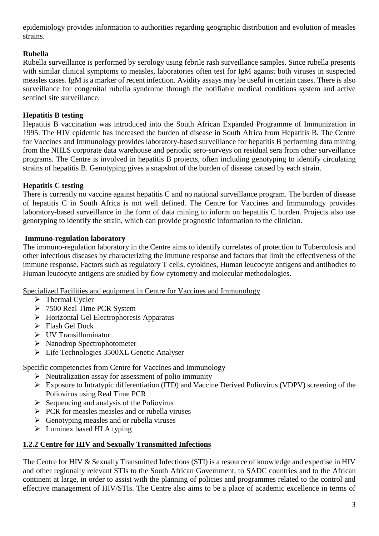epidemiology provides information to authorities regarding geographic distribution and evolution of measles strains.

## **Rubella**

Rubella surveillance is performed by serology using febrile rash surveillance samples. Since rubella presents with similar clinical symptoms to measles, laboratories often test for IgM against both viruses in suspected measles cases. IgM is a marker of recent infection. Avidity assays may be useful in certain cases. There is also surveillance for congenital rubella syndrome through the notifiable medical conditions system and active sentinel site surveillance.

### **Hepatitis B testing**

Hepatitis B vaccination was introduced into the South African Expanded Programme of Immunization in 1995. The HIV epidemic has increased the burden of disease in South Africa from Hepatitis B. The Centre for Vaccines and Immunology provides laboratory-based surveillance for hepatitis B performing data mining from the NHLS corporate data warehouse and periodic sero-surveys on residual sera from other surveillance programs. The Centre is involved in hepatitis B projects, often including genotyping to identify circulating strains of hepatitis B. Genotyping gives a snapshot of the burden of disease caused by each strain.

### **Hepatitis C testing**

There is currently no vaccine against hepatitis C and no national surveillance program. The burden of disease of hepatitis C in South Africa is not well defined. The Centre for Vaccines and Immunology provides laboratory-based surveillance in the form of data mining to inform on hepatitis C burden. Projects also use genotyping to identify the strain, which can provide prognostic information to the clinician.

### **Immuno-regulation laboratory**

The immuno-regulation laboratory in the Centre aims to identify correlates of protection to Tuberculosis and other infectious diseases by characterizing the immune response and factors that limit the effectiveness of the immune response. Factors such as regulatory T cells, cytokines, Human leucocyte antigens and antibodies to Human leucocyte antigens are studied by flow cytometry and molecular methodologies.

Specialized Facilities and equipment in Centre for Vaccines and Immunology

- $\triangleright$  Thermal Cycler
- 7500 Real Time PCR System
- Horizontal Gel Electrophoresis Apparatus
- > Flash Gel Dock
- $\triangleright$  UV Transilluminator
- $\triangleright$  Nanodrop Spectrophotometer
- Life Technologies 3500XL Genetic Analyser

Specific competencies from Centre for Vaccines and Immunology

- $\triangleright$  Neutralization assay for assessment of polio immunity
- Exposure to Intratypic differentiation (ITD) and Vaccine Derived Poliovirus (VDPV) screening of the Poliovirus using Real Time PCR
- $\triangleright$  Sequencing and analysis of the Poliovirus
- $\triangleright$  PCR for measles measles and or rubella viruses
- $\triangleright$  Genotyping measles and or rubella viruses
- $\triangleright$  Luminex based HLA typing

### **1.2.2 Centre for HIV and Sexually Transmitted Infections**

The Centre for HIV & Sexually Transmitted Infections (STI) is a resource of knowledge and expertise in HIV and other regionally relevant STIs to the South African Government, to SADC countries and to the African continent at large, in order to assist with the planning of policies and programmes related to the control and effective management of HIV/STIs. The Centre also aims to be a place of academic excellence in terms of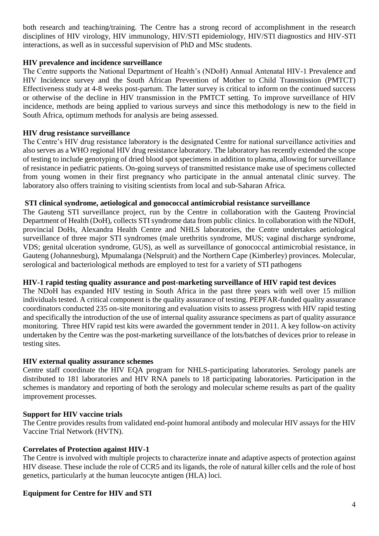both research and teaching/training. The Centre has a strong record of accomplishment in the research disciplines of HIV virology, HIV immunology, HIV/STI epidemiology, HIV/STI diagnostics and HIV-STI interactions, as well as in successful supervision of PhD and MSc students.

#### **HIV prevalence and incidence surveillance**

The Centre supports the National Department of Health's (NDoH) Annual Antenatal HIV-1 Prevalence and HIV Incidence survey and the South African Prevention of Mother to Child Transmission (PMTCT) Effectiveness study at 4-8 weeks post-partum. The latter survey is critical to inform on the continued success or otherwise of the decline in HIV transmission in the PMTCT setting. To improve surveillance of HIV incidence, methods are being applied to various surveys and since this methodology is new to the field in South Africa, optimum methods for analysis are being assessed.

#### **HIV drug resistance surveillance**

The Centre's HIV drug resistance laboratory is the designated Centre for national surveillance activities and also serves as a WHO regional HIV drug resistance laboratory. The laboratory has recently extended the scope of testing to include genotyping of dried blood spot specimens in addition to plasma, allowing for surveillance of resistance in pediatric patients. On-going surveys of transmitted resistance make use of specimens collected from young women in their first pregnancy who participate in the annual antenatal clinic survey. The laboratory also offers training to visiting scientists from local and sub-Saharan Africa.

#### **STI clinical syndrome, aetiological and gonococcal antimicrobial resistance surveillance**

The Gauteng STI surveillance project, run by the Centre in collaboration with the Gauteng Provincial Department of Health (DoH), collects STI syndrome data from public clinics. In collaboration with the NDoH, provincial DoHs, Alexandra Health Centre and NHLS laboratories, the Centre undertakes aetiological surveillance of three major STI syndromes (male urethritis syndrome, MUS; vaginal discharge syndrome, VDS; genital ulceration syndrome, GUS), as well as surveillance of gonococcal antimicrobial resistance, in Gauteng (Johannesburg), Mpumalanga (Nelspruit) and the Northern Cape (Kimberley) provinces. Molecular, serological and bacteriological methods are employed to test for a variety of STI pathogens

#### **HIV-1 rapid testing quality assurance and post-marketing surveillance of HIV rapid test devices**

The NDoH has expanded HIV testing in South Africa in the past three years with well over 15 million individuals tested. A critical component is the quality assurance of testing. PEPFAR-funded quality assurance coordinators conducted 235 on-site monitoring and evaluation visits to assess progress with HIV rapid testing and specifically the introduction of the use of internal quality assurance specimens as part of quality assurance monitoring. Three HIV rapid test kits were awarded the government tender in 2011. A key follow-on activity undertaken by the Centre was the post-marketing surveillance of the lots/batches of devices prior to release in testing sites.

#### **HIV external quality assurance schemes**

Centre staff coordinate the HIV EQA program for NHLS-participating laboratories. Serology panels are distributed to 181 laboratories and HIV RNA panels to 18 participating laboratories. Participation in the schemes is mandatory and reporting of both the serology and molecular scheme results as part of the quality improvement processes.

#### **Support for HIV vaccine trials**

The Centre provides results from validated end-point humoral antibody and molecular HIV assays for the HIV Vaccine Trial Network (HVTN).

### **Correlates of Protection against HIV-1**

The Centre is involved with multiple projects to characterize innate and adaptive aspects of protection against HIV disease. These include the role of CCR5 and its ligands, the role of natural killer cells and the role of host genetics, particularly at the human leucocyte antigen (HLA) loci.

### **Equipment for Centre for HIV and STI**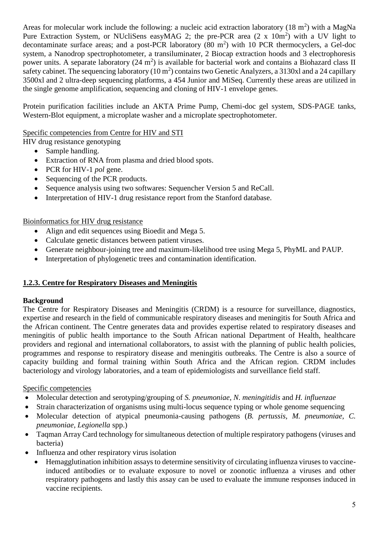Areas for molecular work include the following: a nucleic acid extraction laboratory  $(18 \text{ m}^2)$  with a MagNa Pure Extraction System, or NUcliSens easyMAG 2; the pre-PCR area  $(2 \times 10m^2)$  with a UV light to decontaminate surface areas; and a post-PCR laboratory  $(80 \text{ m}^2)$  with 10 PCR thermocyclers, a Gel-doc system, a Nanodrop spectrophotometer, a transiluminater, 2 Biocap extraction hoods and 3 electrophoresis power units. A separate laboratory  $(24 \text{ m}^2)$  is available for bacterial work and contains a Biohazard class II safety cabinet. The sequencing laboratory  $(10 \text{ m}^2)$  contains two Genetic Analyzers, a 3130xl and a 24 capillary 3500xl and 2 ultra-deep sequencing platforms, a 454 Junior and MiSeq. Currently these areas are utilized in the single genome amplification, sequencing and cloning of HIV-1 envelope genes.

Protein purification facilities include an AKTA Prime Pump, Chemi-doc gel system, SDS-PAGE tanks, Western-Blot equipment, a microplate washer and a microplate spectrophotometer.

Specific competencies from Centre for HIV and STI

HIV drug resistance genotyping

- Sample handling.
- Extraction of RNA from plasma and dried blood spots.
- PCR for HIV-1 *pol* gene.
- Sequencing of the PCR products.
- Sequence analysis using two softwares: Sequencher Version 5 and ReCall.
- Interpretation of HIV-1 drug resistance report from the Stanford database.

Bioinformatics for HIV drug resistance

- Align and edit sequences using Bioedit and Mega 5.
- Calculate genetic distances between patient viruses.
- Generate neighbour-joining tree and maximum-likelihood tree using Mega 5, PhyML and PAUP.
- Interpretation of phylogenetic trees and contamination identification.

### **1.2.3. Centre for Respiratory Diseases and Meningitis**

### **Background**

The Centre for Respiratory Diseases and Meningitis (CRDM) is a resource for surveillance, diagnostics, expertise and research in the field of communicable respiratory diseases and meningitis for South Africa and the African continent. The Centre generates data and provides expertise related to respiratory diseases and meningitis of public health importance to the South African national Department of Health, healthcare providers and regional and international collaborators, to assist with the planning of public health policies, programmes and response to respiratory disease and meningitis outbreaks. The Centre is also a source of capacity building and formal training within South Africa and the African region. CRDM includes bacteriology and virology laboratories, and a team of epidemiologists and surveillance field staff.

### Specific competencies

- Molecular detection and serotyping/grouping of *S. pneumoniae*, *N. meningitidis* and *H. influenzae*
- Strain characterization of organisms using multi-locus sequence typing or whole genome sequencing
- Molecular detection of atypical pneumonia-causing pathogens (*B. pertussis, M. pneumoniae, C. pneumoniae, Legionella* spp.)
- Taqman Array Card technology for simultaneous detection of multiple respiratory pathogens (viruses and bacteria)
- Influenza and other respiratory virus isolation
	- Hemagglutination inhibition assays to determine sensitivity of circulating influenza viruses to vaccineinduced antibodies or to evaluate exposure to novel or zoonotic influenza a viruses and other respiratory pathogens and lastly this assay can be used to evaluate the immune responses induced in vaccine recipients.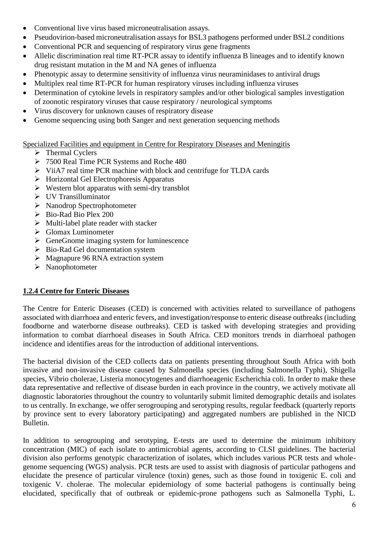- Conventional live virus based microneutralisation assays.
- Pseudovirion-based microneutralisation assays for BSL3 pathogens performed under BSL2 conditions
- Conventional PCR and sequencing of respiratory virus gene fragments
- Allelic discrimination real time RT-PCR assay to identify influenza B lineages and to identify known drug resistant mutation in the M and NA genes of influenza
- Phenotypic assay to determine sensitivity of influenza virus neuraminidases to antiviral drugs
- Multiplex real time RT-PCR for human respiratory viruses including influenza viruses
- Determination of cytokine levels in respiratory samples and/or other biological samples investigation of zoonotic respiratory viruses that cause respiratory / neurological symptoms
- Virus discovery for unknown causes of respiratory disease
- Genome sequencing using both Sanger and next generation sequencing methods

Specialized Facilities and equipment in Centre for Respiratory Diseases and Meningitis

- $\triangleright$  Thermal Cyclers
- 7500 Real Time PCR Systems and Roche 480
- ViiA7 real time PCR machine with block and centrifuge for TLDA cards
- $\triangleright$  Horizontal Gel Electrophoresis Apparatus
- $\triangleright$  Western blot apparatus with semi-dry transblot
- UV Transilluminator
- Nanodrop Spectrophotometer
- $\triangleright$  Bio-Rad Bio Plex 200
- $\triangleright$  Multi-label plate reader with stacker
- $\triangleright$  Glomax Luminometer
- $\triangleright$  GeneGnome imaging system for luminescence
- $\triangleright$  Bio-Rad Gel documentation system
- $\triangleright$  Magnapure 96 RNA extraction system
- > Nanophotometer

### **1.2.4 Centre for Enteric Diseases**

The Centre for Enteric Diseases (CED) is concerned with activities related to surveillance of pathogens associated with diarrhoea and enteric fevers, and investigation/response to enteric disease outbreaks (including foodborne and waterborne disease outbreaks). CED is tasked with developing strategies and providing information to combat diarrhoeal diseases in South Africa. CED monitors trends in diarrhoeal pathogen incidence and identifies areas for the introduction of additional interventions.

The bacterial division of the CED collects data on patients presenting throughout South Africa with both invasive and non-invasive disease caused by Salmonella species (including Salmonella Typhi), Shigella species, Vibrio cholerae, Listeria monocytogenes and diarrhoeagenic Escherichia coli. In order to make these data representative and reflective of disease burden in each province in the country, we actively motivate all diagnostic laboratories throughout the country to voluntarily submit limited demographic details and isolates to us centrally. In exchange, we offer serogrouping and serotyping results, regular feedback (quarterly reports by province sent to every laboratory participating) and aggregated numbers are published in the NICD Bulletin.

In addition to serogrouping and serotyping, E-tests are used to determine the minimum inhibitory concentration (MIC) of each isolate to antimicrobial agents, according to CLSI guidelines. The bacterial division also performs genotypic characterization of isolates, which includes various PCR tests and wholegenome sequencing (WGS) analysis. PCR tests are used to assist with diagnosis of particular pathogens and elucidate the presence of particular virulence (toxin) genes, such as those found in toxigenic E. coli and toxigenic V. cholerae. The molecular epidemiology of some bacterial pathogens is continually being elucidated, specifically that of outbreak or epidemic-prone pathogens such as Salmonella Typhi, L.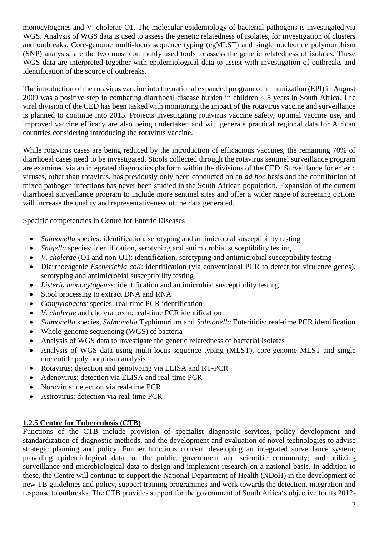monocytogenes and V. cholerae O1. The molecular epidemiology of bacterial pathogens is investigated via WGS. Analysis of WGS data is used to assess the genetic relatedness of isolates, for investigation of clusters and outbreaks. Core-genome multi-locus sequence typing (cgMLST) and single nucleotide polymorphism (SNP) analysis, are the two most commonly used tools to assess the genetic relatedness of isolates. These WGS data are interpreted together with epidemiological data to assist with investigation of outbreaks and identification of the source of outbreaks.

The introduction of the rotavirus vaccine into the national expanded program of immunization (EPI) in August 2009 was a positive step in combating diarrhoeal disease burden in children < 5 years in South Africa. The viral division of the CED has been tasked with monitoring the impact of the rotavirus vaccine and surveillance is planned to continue into 2015. Projects investigating rotavirus vaccine safety, optimal vaccine use, and improved vaccine efficacy are also being undertaken and will generate practical regional data for African countries considering introducing the rotavirus vaccine.

While rotavirus cases are being reduced by the introduction of efficacious vaccines, the remaining 70% of diarrhoeal cases need to be investigated. Stools collected through the rotavirus sentinel surveillance program are examined via an integrated diagnostics platform within the divisions of the CED. Surveillance for enteric viruses, other than rotavirus, has previously only been conducted on an *ad hoc* basis and the contribution of mixed pathogen infections has never been studied in the South African population. Expansion of the current diarrhoeal surveillance program to include more sentinel sites and offer a wider range of screening options will increase the quality and representativeness of the data generated.

#### Specific competencies in Centre for Enteric Diseases

- *Salmonella* species: identification, serotyping and antimicrobial susceptibility testing
- *Shigella* species: identification, serotyping and antimicrobial susceptibility testing
- *V. cholerae* (O1 and non-O1): identification, serotyping and antimicrobial susceptibility testing
- Diarrhoeagenic *Escherichia coli*: identification (via conventional PCR to detect for virulence genes), serotyping and antimicrobial susceptibility testing
- *Listeria monocytogenes*: identification and antimicrobial susceptibility testing
- Stool processing to extract DNA and RNA
- *Campylobacter* species: real-time PCR identification
- *V. cholerae* and cholera toxin: real-time PCR identification
- *Salmonella* species, *Salmonella* Typhimurium and *Salmonella* Enteritidis: real-time PCR identification
- Whole-genome sequencing (WGS) of bacteria
- Analysis of WGS data to investigate the genetic relatedness of bacterial isolates
- Analysis of WGS data using multi-locus sequence typing (MLST), core-genome MLST and single nucleotide polymorphism analysis
- Rotavirus: detection and genotyping via ELISA and RT-PCR
- Adenovirus: detection via ELISA and real-time PCR
- Norovirus: detection via real-time PCR
- Astrovirus: detection via real-time PCR

### **1.2.5 Centre for Tuberculosis (CTB)**

Functions of the CTB include provision of specialist diagnostic services, policy development and standardization of diagnostic methods, and the development and evaluation of novel technologies to advise strategic planning and policy. Further functions concern developing an integrated surveillance system; providing epidemiological data for the public, government and scientific community; and utilizing surveillance and microbiological data to design and implement research on a national basis. In addition to these, the Centre will continue to support the National Department of Health (NDoH) in the development of new TB guidelines and policy, support training programmes and work towards the detection, integration and response to outbreaks. The CTB provides support for the government of South Africa's objective for its 2012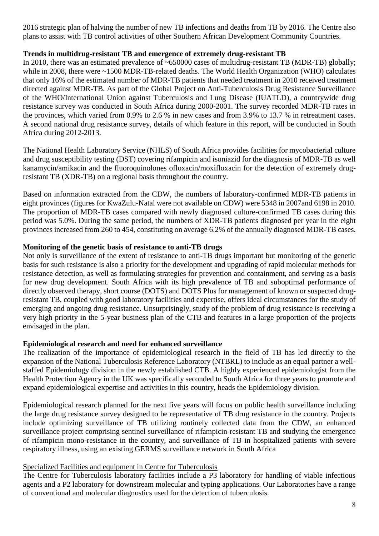2016 strategic plan of halving the number of new TB infections and deaths from TB by 2016. The Centre also plans to assist with TB control activities of other Southern African Development Community Countries.

#### **Trends in multidrug-resistant TB and emergence of extremely drug-resistant TB**

In 2010, there was an estimated prevalence of ~650000 cases of multidrug-resistant TB (MDR-TB) globally; while in 2008, there were ~1500 MDR-TB-related deaths. The World Health Organization (WHO) calculates that only 16% of the estimated number of MDR-TB patients that needed treatment in 2010 received treatment directed against MDR-TB. As part of the Global Project on Anti-Tuberculosis Drug Resistance Surveillance of the WHO/International Union against Tuberculosis and Lung Disease (IUATLD), a countrywide drug resistance survey was conducted in South Africa during 2000-2001. The survey recorded MDR-TB rates in the provinces, which varied from 0.9% to 2.6 % in new cases and from 3.9% to 13.7 % in retreatment cases. A second national drug resistance survey, details of which feature in this report, will be conducted in South Africa during 2012-2013.

The National Health Laboratory Service (NHLS) of South Africa provides facilities for mycobacterial culture and drug susceptibility testing (DST) covering rifampicin and isoniazid for the diagnosis of MDR-TB as well kanamycin/amikacin and the fluoroquinolones ofloxacin/moxifloxacin for the detection of extremely drugresistant TB (XDR-TB) on a regional basis throughout the country.

Based on information extracted from the CDW, the numbers of laboratory-confirmed MDR-TB patients in eight provinces (figures for KwaZulu-Natal were not available on CDW) were 5348 in 2007and 6198 in 2010. The proportion of MDR-TB cases compared with newly diagnosed culture-confirmed TB cases during this period was 5.0%. During the same period, the numbers of XDR-TB patients diagnosed per year in the eight provinces increased from 260 to 454, constituting on average 6.2% of the annually diagnosed MDR-TB cases.

#### **Monitoring of the genetic basis of resistance to anti-TB drugs**

Not only is surveillance of the extent of resistance to anti-TB drugs important but monitoring of the genetic basis for such resistance is also a priority for the development and upgrading of rapid molecular methods for resistance detection, as well as formulating strategies for prevention and containment, and serving as a basis for new drug development. South Africa with its high prevalence of TB and suboptimal performance of directly observed therapy, short course (DOTS) and DOTS Plus for management of known or suspected drugresistant TB, coupled with good laboratory facilities and expertise, offers ideal circumstances for the study of emerging and ongoing drug resistance. Unsurprisingly, study of the problem of drug resistance is receiving a very high priority in the 5-year business plan of the CTB and features in a large proportion of the projects envisaged in the plan.

#### **Epidemiological research and need for enhanced surveillance**

The realization of the importance of epidemiological research in the field of TB has led directly to the expansion of the National Tuberculosis Reference Laboratory (NTBRL) to include as an equal partner a wellstaffed Epidemiology division in the newly established CTB. A highly experienced epidemiologist from the Health Protection Agency in the UK was specifically seconded to South Africa for three years to promote and expand epidemiological expertise and activities in this country, heads the Epidemiology division.

Epidemiological research planned for the next five years will focus on public health surveillance including the large drug resistance survey designed to be representative of TB drug resistance in the country. Projects include optimizing surveillance of TB utilizing routinely collected data from the CDW, an enhanced surveillance project comprising sentinel surveillance of rifampicin-resistant TB and studying the emergence of rifampicin mono-resistance in the country, and surveillance of TB in hospitalized patients with severe respiratory illness, using an existing GERMS surveillance network in South Africa

#### Specialized Facilities and equipment in Centre for Tuberculosis

The Centre for Tuberculosis laboratory facilities include a P3 laboratory for handling of viable infectious agents and a P2 laboratory for downstream molecular and typing applications. Our Laboratories have a range of conventional and molecular diagnostics used for the detection of tuberculosis.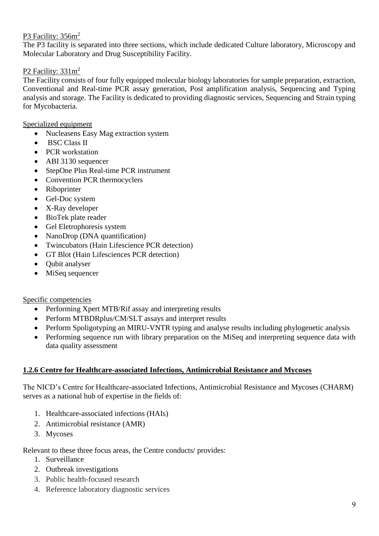### P3 Facility: 356m<sup>2</sup>

The P3 facility is separated into three sections, which include dedicated Culture laboratory, Microscopy and Molecular Laboratory and Drug Susceptibility Facility.

### P2 Facility:  $331m^2$

The Facility consists of four fully equipped molecular biology laboratories for sample preparation, extraction, Conventional and Real-time PCR assay generation, Post amplification analysis, Sequencing and Typing analysis and storage. The Facility is dedicated to providing diagnostic services, Sequencing and Strain typing for Mycobacteria.

#### Specialized equipment

- Nucleasens Easy Mag extraction system
- BSC Class II
- PCR workstation
- ABI 3130 sequencer
- StepOne Plus Real-time PCR instrument
- Convention PCR thermocyclers
- Riboprinter
- Gel-Doc system
- X-Ray developer
- BioTek plate reader
- Gel Eletrophoresis system
- NanoDrop (DNA quantification)
- Twincubators (Hain Lifescience PCR detection)
- GT Blot (Hain Lifesciences PCR detection)
- Oubit analyser
- MiSeq sequencer

#### Specific competencies

- Performing Xpert MTB/Rif assay and interpreting results
- Perform MTBDRplus/CM/SLT assays and interpret results
- Perform Spoligotyping an MIRU-VNTR typing and analyse results including phylogenetic analysis
- Performing sequence run with library preparation on the MiSeq and interpreting sequence data with data quality assessment

#### **1.2.6 Centre for Healthcare-associated Infections, Antimicrobial Resistance and Mycoses**

The NICD's Centre for Healthcare-associated Infections, Antimicrobial Resistance and Mycoses (CHARM) serves as a national hub of expertise in the fields of:

- 1. Healthcare-associated infections (HAIs)
- 2. Antimicrobial resistance (AMR)
- 3. Mycoses

#### Relevant to these three focus areas, the Centre conducts/ provides:

- 1. Surveillance
- 2. Outbreak investigations
- 3. Public health-focused research
- 4. Reference laboratory diagnostic services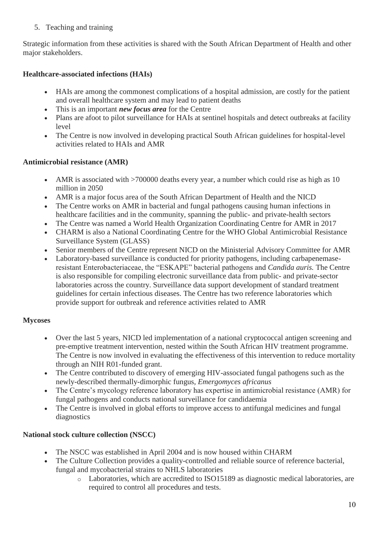### 5. Teaching and training

Strategic information from these activities is shared with the South African Department of Health and other major stakeholders.

## **Healthcare-associated infections (HAIs)**

- HAIs are among the commonest complications of a hospital admission, are costly for the patient and overall healthcare system and may lead to patient deaths
- This is an important *new focus area* for the Centre
- Plans are afoot to pilot surveillance for HAIs at sentinel hospitals and detect outbreaks at facility level
- The Centre is now involved in developing practical South African guidelines for hospital-level activities related to HAIs and AMR

### **Antimicrobial resistance (AMR)**

- AMR is associated with >700000 deaths every year, a number which could rise as high as 10 million in 2050
- AMR is a major focus area of the South African Department of Health and the NICD
- The Centre works on AMR in bacterial and fungal pathogens causing human infections in healthcare facilities and in the community, spanning the public- and private-health sectors
- The Centre was named a World Health Organization Coordinating Centre for AMR in 2017
- CHARM is also a National Coordinating Centre for the WHO Global Antimicrobial Resistance Surveillance System (GLASS)
- Senior members of the Centre represent NICD on the Ministerial Advisory Committee for AMR
- Laboratory-based surveillance is conducted for priority pathogens, including carbapenemaseresistant Enterobacteriaceae, the "ESKAPE" bacterial pathogens and *Candida auris.* The Centre is also responsible for compiling electronic surveillance data from public- and private-sector laboratories across the country. Surveillance data support development of standard treatment guidelines for certain infectious diseases. The Centre has two reference laboratories which provide support for outbreak and reference activities related to AMR

### **Mycoses**

- Over the last 5 years, NICD led implementation of a national cryptococcal antigen screening and pre-emptive treatment intervention, nested within the South African HIV treatment programme. The Centre is now involved in evaluating the effectiveness of this intervention to reduce mortality through an NIH R01-funded grant.
- The Centre contributed to discovery of emerging HIV-associated fungal pathogens such as the newly-described thermally-dimorphic fungus, *Emergomyces africanus*
- The Centre's mycology reference laboratory has expertise in antimicrobial resistance (AMR) for fungal pathogens and conducts national surveillance for candidaemia
- The Centre is involved in global efforts to improve access to antifungal medicines and fungal diagnostics

## **National stock culture collection (NSCC)**

- The NSCC was established in April 2004 and is now housed within CHARM
- The Culture Collection provides a quality-controlled and reliable source of reference bacterial, fungal and mycobacterial strains to NHLS laboratories
	- o Laboratories, which are accredited to ISO15189 as diagnostic medical laboratories, are required to control all procedures and tests.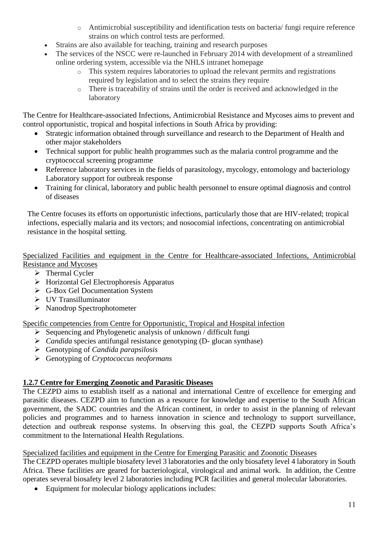- o Antimicrobial susceptibility and identification tests on bacteria/ fungi require reference strains on which control tests are performed.
- Strains are also available for teaching, training and research purposes
- The services of the NSCC were re-launched in February 2014 with development of a streamlined online ordering system, accessible via the NHLS intranet homepage
	- o This system requires laboratories to upload the relevant permits and registrations required by legislation and to select the strains they require
	- o There is traceability of strains until the order is received and acknowledged in the laboratory

The Centre for Healthcare-associated Infections, Antimicrobial Resistance and Mycoses aims to prevent and control opportunistic, tropical and hospital infections in South Africa by providing:

- Strategic information obtained through surveillance and research to the Department of Health and other major stakeholders
- Technical support for public health programmes such as the malaria control programme and the cryptococcal screening programme
- Reference laboratory services in the fields of parasitology, mycology, entomology and bacteriology Laboratory support for outbreak response
- Training for clinical, laboratory and public health personnel to ensure optimal diagnosis and control of diseases

The Centre focuses its efforts on opportunistic infections, particularly those that are HIV-related; tropical infections, especially malaria and its vectors; and nosocomial infections, concentrating on antimicrobial resistance in the hospital setting.

Specialized Facilities and equipment in the Centre for Healthcare-associated Infections, Antimicrobial Resistance and Mycoses

- $\triangleright$  Thermal Cycler
- $\triangleright$  Horizontal Gel Electrophoresis Apparatus
- G-Box Gel Documentation System
- UV Transilluminator
- $\triangleright$  Nanodrop Spectrophotometer

Specific competencies from Centre for Opportunistic, Tropical and Hospital infection

- $\triangleright$  Sequencing and Phylogenetic analysis of unknown / difficult fungi
- *Candida* species antifungal resistance genotyping (D- glucan synthase)
- Genotyping of *Candida parapsilosis*
- Genotyping of *Cryptococcus neoformans*

### **1.2.7 Centre for Emerging Zoonotic and Parasitic Diseases**

The CEZPD aims to establish itself as a national and international Centre of excellence for emerging and parasitic diseases. CEZPD aim to function as a resource for knowledge and expertise to the South African government, the SADC countries and the African continent, in order to assist in the planning of relevant policies and programmes and to harness innovation in science and technology to support surveillance, detection and outbreak response systems. In observing this goal, the CEZPD supports South Africa's commitment to the International Health Regulations.

### Specialized facilities and equipment in the Centre for Emerging Parasitic and Zoonotic Diseases

The CEZPD operates multiple biosafety level 3 laboratories and the only biosafety level 4 laboratory in South Africa. These facilities are geared for bacteriological, virological and animal work. In addition, the Centre operates several biosafety level 2 laboratories including PCR facilities and general molecular laboratories.

Equipment for molecular biology applications includes: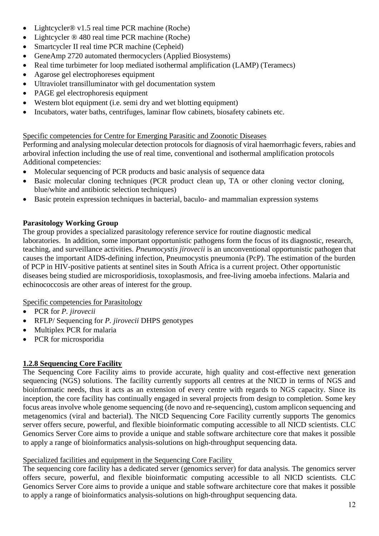- Lightcycler<sup>®</sup> v1.5 real time PCR machine (Roche)
- Lightcycler ® 480 real time PCR machine (Roche)
- Smartcycler II real time PCR machine (Cepheid)
- GeneAmp 2720 automated thermocyclers (Applied Biosystems)
- Real time turbimeter for loop mediated isothermal amplification (LAMP) (Teramecs)
- Agarose gel electrophoreses equipment
- Ultraviolet transilluminator with gel documentation system
- PAGE gel electrophoresis equipment
- Western blot equipment (i.e. semi dry and wet blotting equipment)
- Incubators, water baths, centrifuges, laminar flow cabinets, biosafety cabinets etc.

Specific competencies for Centre for Emerging Parasitic and Zoonotic Diseases

Performing and analysing molecular detection protocols for diagnosis of viral haemorrhagic fevers, rabies and arboviral infection including the use of real time, conventional and isothermal amplification protocols Additional competencies:

- Molecular sequencing of PCR products and basic analysis of sequence data
- Basic molecular cloning techniques (PCR product clean up, TA or other cloning vector cloning, blue/white and antibiotic selection techniques)
- Basic protein expression techniques in bacterial, baculo- and mammalian expression systems

#### **Parasitology Working Group**

The group provides a specialized parasitology reference service for routine diagnostic medical laboratories. In addition, some important opportunistic pathogens form the focus of its diagnostic, research, teaching, and surveillance activities. *Pneumocystis jirovecii* is an unconventional opportunistic pathogen that causes the important AIDS-defining infection, Pneumocystis pneumonia (PcP). The estimation of the burden of PCP in HIV-positive patients at sentinel sites in South Africa is a current project. Other opportunistic diseases being studied are microsporidiosis, toxoplasmosis, and free-living amoeba infections. Malaria and echinococcosis are other areas of interest for the group.

Specific competencies for Parasitology

- PCR for *P. jirovecii*
- RFLP/ Sequencing for *P. jirovecii* DHPS genotypes
- Multiplex PCR for malaria
- PCR for microsporidia

### **1.2.8 Sequencing Core Facility**

The Sequencing Core Facility aims to provide accurate, high quality and cost-effective next generation sequencing (NGS) solutions. The facility currently supports all centres at the NICD in terms of NGS and bioinformatic needs, thus it acts as an extension of every centre with regards to NGS capacity. Since its inception, the core facility has continually engaged in several projects from design to completion. Some key focus areas involve whole genome sequencing (de novo and re-sequencing), custom amplicon sequencing and metagenomics (viral and bacterial). The NICD Sequencing Core Facility currently supports The genomics server offers secure, powerful, and flexible bioinformatic computing accessible to all NICD scientists. CLC Genomics Server Core aims to provide a unique and stable software architecture core that makes it possible to apply a range of bioinformatics analysis-solutions on high-throughput sequencing data.

#### Specialized facilities and equipment in the Sequencing Core Facility

The sequencing core facility has a dedicated server (genomics server) for data analysis. The genomics server offers secure, powerful, and flexible bioinformatic computing accessible to all NICD scientists. CLC Genomics Server Core aims to provide a unique and stable software architecture core that makes it possible to apply a range of bioinformatics analysis-solutions on high-throughput sequencing data.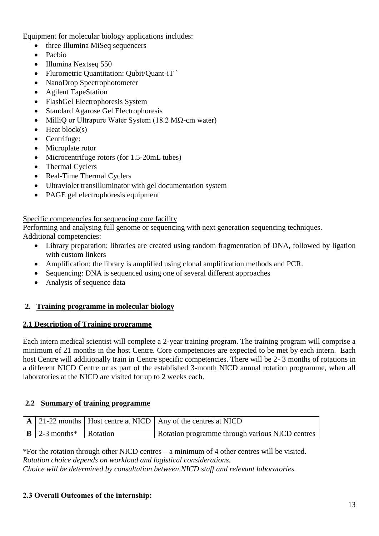Equipment for molecular biology applications includes:

- three Illumina MiSeq sequencers
- Pachio
- Illumina Nextseq 550
- Flurometric Quantitation: Qubit/Quant-iT
- NanoDrop Spectrophotometer
- Agilent TapeStation
- FlashGel Electrophoresis System
- Standard Agarose Gel Electrophoresis
- MilliO or Ultrapure Water System (18.2 MΩ-cm water)
- $\bullet$  Heat block(s)
- Centrifuge:
- Microplate rotor
- Microcentrifuge rotors (for 1.5-20mL tubes)
- Thermal Cyclers
- Real-Time Thermal Cyclers
- Ultraviolet transilluminator with gel documentation system
- PAGE gel electrophoresis equipment

#### Specific competencies for sequencing core facility

Performing and analysing full genome or sequencing with next generation sequencing techniques. Additional competencies:

- Library preparation: libraries are created using random fragmentation of DNA, followed by ligation with custom linkers
- Amplification: the library is amplified using clonal amplification methods and PCR.
- Sequencing: DNA is sequenced using one of several different approaches
- Analysis of sequence data

#### **2. Training programme in molecular biology**

#### **2.1 Description of Training programme**

Each intern medical scientist will complete a 2-year training program. The training program will comprise a minimum of 21 months in the host Centre. Core competencies are expected to be met by each intern. Each host Centre will additionally train in Centre specific competencies. There will be 2- 3 months of rotations in a different NICD Centre or as part of the established 3-month NICD annual rotation programme, when all laboratories at the NICD are visited for up to 2 weeks each.

#### **2.2 Summary of training programme**

|                                                         | $\vert$ A $\vert$ 21-22 months $\vert$ Host centre at NICD $\vert$ Any of the centres at NICD |
|---------------------------------------------------------|-----------------------------------------------------------------------------------------------|
| $\mid$ <b>B</b> $\mid$ 2-3 months <sup>*</sup> Rotation | Rotation programme through various NICD centres                                               |

\*For the rotation through other NICD centres – a minimum of 4 other centres will be visited. *Rotation choice depends on workload and logistical considerations. Choice will be determined by consultation between NICD staff and relevant laboratories.*

#### **2.3 Overall Outcomes of the internship:**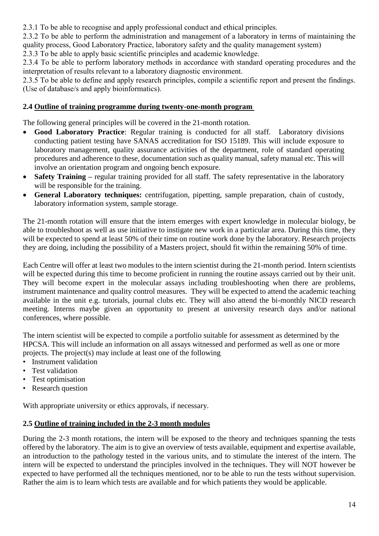2.3.1 To be able to recognise and apply professional conduct and ethical principles.

2.3.2 To be able to perform the administration and management of a laboratory in terms of maintaining the quality process, Good Laboratory Practice, laboratory safety and the quality management system)

2.3.3 To be able to apply basic scientific principles and academic knowledge.

2.3.4 To be able to perform laboratory methods in accordance with standard operating procedures and the interpretation of results relevant to a laboratory diagnostic environment.

2.3.5 To be able to define and apply research principles, compile a scientific report and present the findings. (Use of database/s and apply bioinformatics).

### **2.4 Outline of training programme during twenty-one-month program**

The following general principles will be covered in the 21-month rotation.

- **Good Laboratory Practice**: Regular training is conducted for all staff. Laboratory divisions conducting patient testing have SANAS accreditation for ISO 15189. This will include exposure to laboratory management, quality assurance activities of the department, role of standard operating procedures and adherence to these, documentation such as quality manual, safety manual etc. This will involve an orientation program and ongoing bench exposure.
- **Safety Training –** regular training provided for all staff. The safety representative in the laboratory will be responsible for the training.
- **General Laboratory techniques:** centrifugation, pipetting, sample preparation, chain of custody, laboratory information system, sample storage.

The 21-month rotation will ensure that the intern emerges with expert knowledge in molecular biology, be able to troubleshoot as well as use initiative to instigate new work in a particular area. During this time, they will be expected to spend at least 50% of their time on routine work done by the laboratory. Research projects they are doing, including the possibility of a Masters project, should fit within the remaining 50% of time.

Each Centre will offer at least two modules to the intern scientist during the 21-month period. Intern scientists will be expected during this time to become proficient in running the routine assays carried out by their unit. They will become expert in the molecular assays including troubleshooting when there are problems, instrument maintenance and quality control measures. They will be expected to attend the academic teaching available in the unit e.g. tutorials, journal clubs etc. They will also attend the bi-monthly NICD research meeting. Interns maybe given an opportunity to present at university research days and/or national conferences, where possible.

The intern scientist will be expected to compile a portfolio suitable for assessment as determined by the HPCSA. This will include an information on all assays witnessed and performed as well as one or more projects. The project(s) may include at least one of the following

- Instrument validation
- Test validation
- Test optimisation
- Research question

With appropriate university or ethics approvals, if necessary.

#### **2.5 Outline of training included in the 2-3 month modules**

During the 2-3 month rotations, the intern will be exposed to the theory and techniques spanning the tests offered by the laboratory. The aim is to give an overview of tests available, equipment and expertise available, an introduction to the pathology tested in the various units, and to stimulate the interest of the intern. The intern will be expected to understand the principles involved in the techniques. They will NOT however be expected to have performed all the techniques mentioned, nor to be able to run the tests without supervision. Rather the aim is to learn which tests are available and for which patients they would be applicable.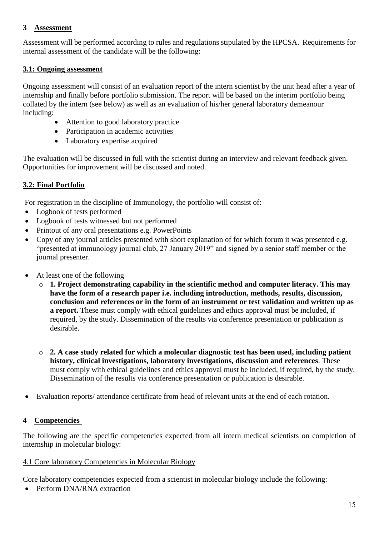#### **3 Assessment**

Assessment will be performed according to rules and regulations stipulated by the HPCSA. Requirements for internal assessment of the candidate will be the following:

#### **3.1: Ongoing assessment**

Ongoing assessment will consist of an evaluation report of the intern scientist by the unit head after a year of internship and finally before portfolio submission. The report will be based on the interim portfolio being collated by the intern (see below) as well as an evaluation of his/her general laboratory demeanour including:

- Attention to good laboratory practice
- Participation in academic activities
- Laboratory expertise acquired

The evaluation will be discussed in full with the scientist during an interview and relevant feedback given. Opportunities for improvement will be discussed and noted.

### **3.2: Final Portfolio**

For registration in the discipline of Immunology, the portfolio will consist of:

- Logbook of tests performed
- Logbook of tests witnessed but not performed
- Printout of any oral presentations e.g. PowerPoints
- Copy of any journal articles presented with short explanation of for which forum it was presented e.g. "presented at immunology journal club, 27 January 2019" and signed by a senior staff member or the journal presenter.
- At least one of the following
	- o **1. Project demonstrating capability in the scientific method and computer literacy. This may have the form of a research paper i.e. including introduction, methods, results, discussion, conclusion and references or in the form of an instrument or test validation and written up as a report.** These must comply with ethical guidelines and ethics approval must be included, if required, by the study. Dissemination of the results via conference presentation or publication is desirable.
	- o **2. A case study related for which a molecular diagnostic test has been used, including patient history, clinical investigations, laboratory investigations, discussion and references**. These must comply with ethical guidelines and ethics approval must be included, if required, by the study. Dissemination of the results via conference presentation or publication is desirable.
- Evaluation reports/ attendance certificate from head of relevant units at the end of each rotation.

### **4 Competencies**

The following are the specific competencies expected from all intern medical scientists on completion of internship in molecular biology:

#### 4.1 Core laboratory Competencies in Molecular Biology

Core laboratory competencies expected from a scientist in molecular biology include the following:

• Perform DNA/RNA extraction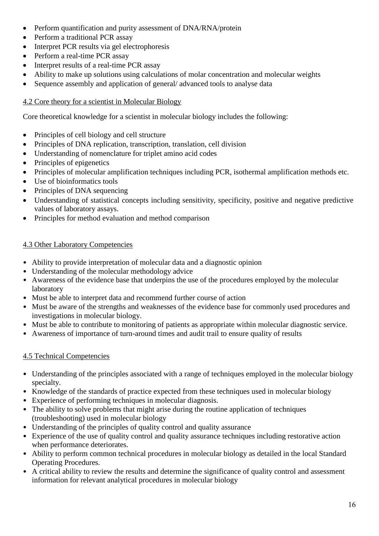- Perform quantification and purity assessment of DNA/RNA/protein
- Perform a traditional PCR assay
- Interpret PCR results via gel electrophoresis
- Perform a real-time PCR assay
- Interpret results of a real-time PCR assay
- Ability to make up solutions using calculations of molar concentration and molecular weights
- Sequence assembly and application of general/ advanced tools to analyse data

### 4.2 Core theory for a scientist in Molecular Biology

Core theoretical knowledge for a scientist in molecular biology includes the following:

- Principles of cell biology and cell structure
- Principles of DNA replication, transcription, translation, cell division
- Understanding of nomenclature for triplet amino acid codes
- Principles of epigenetics
- Principles of molecular amplification techniques including PCR, isothermal amplification methods etc.
- Use of bioinformatics tools
- Principles of DNA sequencing
- Understanding of statistical concepts including sensitivity, specificity, positive and negative predictive values of laboratory assays.
- Principles for method evaluation and method comparison

### 4.3 Other Laboratory Competencies

- Ability to provide interpretation of molecular data and a diagnostic opinion
- Understanding of the molecular methodology advice
- Awareness of the evidence base that underpins the use of the procedures employed by the molecular laboratory
- Must be able to interpret data and recommend further course of action
- Must be aware of the strengths and weaknesses of the evidence base for commonly used procedures and investigations in molecular biology.
- Must be able to contribute to monitoring of patients as appropriate within molecular diagnostic service.
- Awareness of importance of turn-around times and audit trail to ensure quality of results

## 4.5 Technical Competencies

- Understanding of the principles associated with a range of techniques employed in the molecular biology specialty.
- Knowledge of the standards of practice expected from these techniques used in molecular biology
- Experience of performing techniques in molecular diagnosis.
- The ability to solve problems that might arise during the routine application of techniques (troubleshooting) used in molecular biology
- Understanding of the principles of quality control and quality assurance
- Experience of the use of quality control and quality assurance techniques including restorative action when performance deteriorates.
- Ability to perform common technical procedures in molecular biology as detailed in the local Standard Operating Procedures.
- A critical ability to review the results and determine the significance of quality control and assessment information for relevant analytical procedures in molecular biology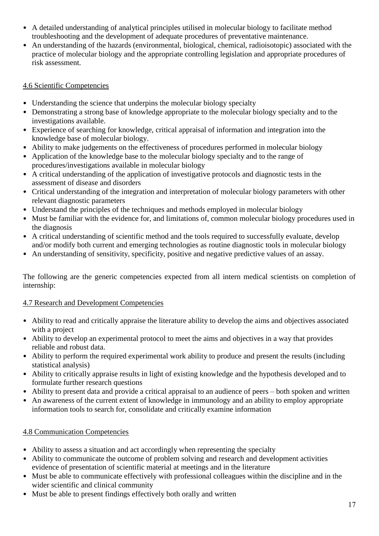- A detailed understanding of analytical principles utilised in molecular biology to facilitate method troubleshooting and the development of adequate procedures of preventative maintenance.
- An understanding of the hazards (environmental, biological, chemical, radioisotopic) associated with the practice of molecular biology and the appropriate controlling legislation and appropriate procedures of risk assessment.

### 4.6 Scientific Competencies

- Understanding the science that underpins the molecular biology specialty
- Demonstrating a strong base of knowledge appropriate to the molecular biology specialty and to the investigations available.
- Experience of searching for knowledge, critical appraisal of information and integration into the knowledge base of molecular biology.
- Ability to make judgements on the effectiveness of procedures performed in molecular biology
- Application of the knowledge base to the molecular biology specialty and to the range of procedures/investigations available in molecular biology
- A critical understanding of the application of investigative protocols and diagnostic tests in the assessment of disease and disorders
- Critical understanding of the integration and interpretation of molecular biology parameters with other relevant diagnostic parameters
- Understand the principles of the techniques and methods employed in molecular biology
- Must be familiar with the evidence for, and limitations of, common molecular biology procedures used in the diagnosis
- A critical understanding of scientific method and the tools required to successfully evaluate, develop and/or modify both current and emerging technologies as routine diagnostic tools in molecular biology
- An understanding of sensitivity, specificity, positive and negative predictive values of an assay.

The following are the generic competencies expected from all intern medical scientists on completion of internship:

### 4.7 Research and Development Competencies

- Ability to read and critically appraise the literature ability to develop the aims and objectives associated with a project
- Ability to develop an experimental protocol to meet the aims and objectives in a way that provides reliable and robust data.
- Ability to perform the required experimental work ability to produce and present the results (including statistical analysis)
- Ability to critically appraise results in light of existing knowledge and the hypothesis developed and to formulate further research questions
- Ability to present data and provide a critical appraisal to an audience of peers both spoken and written
- An awareness of the current extent of knowledge in immunology and an ability to employ appropriate information tools to search for, consolidate and critically examine information

## 4.8 Communication Competencies

- Ability to assess a situation and act accordingly when representing the specialty
- Ability to communicate the outcome of problem solving and research and development activities evidence of presentation of scientific material at meetings and in the literature
- Must be able to communicate effectively with professional colleagues within the discipline and in the wider scientific and clinical community
- Must be able to present findings effectively both orally and written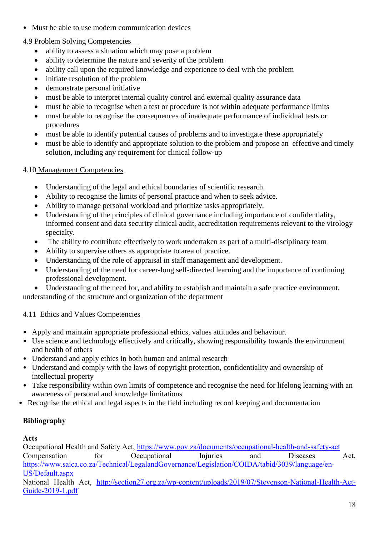• Must be able to use modern communication devices

# 4.9 Problem Solving Competencies

- ability to assess a situation which may pose a problem
- ability to determine the nature and severity of the problem
- ability call upon the required knowledge and experience to deal with the problem
- initiate resolution of the problem
- demonstrate personal initiative
- must be able to interpret internal quality control and external quality assurance data
- must be able to recognise when a test or procedure is not within adequate performance limits
- must be able to recognise the consequences of inadequate performance of individual tests or procedures
- must be able to identify potential causes of problems and to investigate these appropriately
- must be able to identify and appropriate solution to the problem and propose an effective and timely solution, including any requirement for clinical follow-up

# 4.10 Management Competencies

- Understanding of the legal and ethical boundaries of scientific research.
- Ability to recognise the limits of personal practice and when to seek advice.
- Ability to manage personal workload and prioritize tasks appropriately.
- Understanding of the principles of clinical governance including importance of confidentiality, informed consent and data security clinical audit, accreditation requirements relevant to the virology specialty.
- The ability to contribute effectively to work undertaken as part of a multi-disciplinary team
- Ability to supervise others as appropriate to area of practice.
- Understanding of the role of appraisal in staff management and development.
- Understanding of the need for career-long self-directed learning and the importance of continuing professional development.
- Understanding of the need for, and ability to establish and maintain a safe practice environment.

understanding of the structure and organization of the department

# 4.11 Ethics and Values Competencies

- Apply and maintain appropriate professional ethics, values attitudes and behaviour.
- Use science and technology effectively and critically, showing responsibility towards the environment and health of others
- Understand and apply ethics in both human and animal research
- Understand and comply with the laws of copyright protection, confidentiality and ownership of intellectual property
- Take responsibility within own limits of competence and recognise the need for lifelong learning with an awareness of personal and knowledge limitations
- Recognise the ethical and legal aspects in the field including record keeping and documentation

# **Bibliography**

# **Acts**

Occupational Health and Safety Act,<https://www.gov.za/documents/occupational-health-and-safety-act> Compensation for Occupational Injuries and Diseases Act, [https://www.saica.co.za/Technical/LegalandGovernance/Legislation/COIDA/tabid/3039/language/en-](https://www.saica.co.za/Technical/LegalandGovernance/Legislation/COIDA/tabid/3039/language/en-US/Default.aspx)[US/Default.aspx](https://www.saica.co.za/Technical/LegalandGovernance/Legislation/COIDA/tabid/3039/language/en-US/Default.aspx)

National Health Act, [http://section27.org.za/wp-content/uploads/2019/07/Stevenson-National-Health-Act-](http://section27.org.za/wp-content/uploads/2019/07/Stevenson-National-Health-Act-Guide-2019-1.pdf)[Guide-2019-1.pdf](http://section27.org.za/wp-content/uploads/2019/07/Stevenson-National-Health-Act-Guide-2019-1.pdf)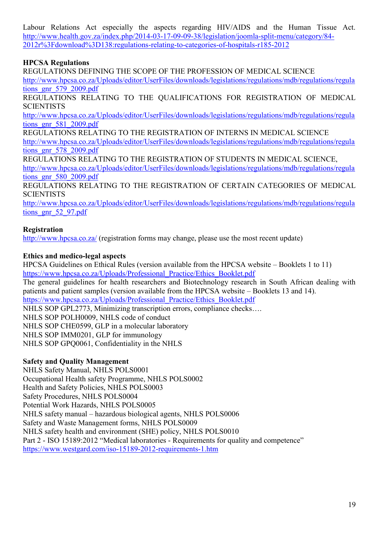Labour Relations Act especially the aspects regarding HIV/AIDS and the Human Tissue Act. [http://www.health.gov.za/index.php/2014-03-17-09-09-38/legislation/joomla-split-menu/category/84-](http://www.health.gov.za/index.php/2014-03-17-09-09-38/legislation/joomla-split-menu/category/84-2012r%3Fdownload%3D138:regulations-relating-to-categories-of-hospitals-r185-2012) [2012r%3Fdownload%3D138:regulations-relating-to-categories-of-hospitals-r185-2012](http://www.health.gov.za/index.php/2014-03-17-09-09-38/legislation/joomla-split-menu/category/84-2012r%3Fdownload%3D138:regulations-relating-to-categories-of-hospitals-r185-2012)

### **HPCSA Regulations**

REGULATIONS DEFINING THE SCOPE OF THE PROFESSION OF MEDICAL SCIENCE

[http://www.hpcsa.co.za/Uploads/editor/UserFiles/downloads/legislations/regulations/mdb/regulations/regula](http://www.hpcsa.co.za/Uploads/editor/UserFiles/downloads/legislations/regulations/mdb/regulations/regulations_gnr_579_2009.pdf) [tions\\_gnr\\_579\\_2009.pdf](http://www.hpcsa.co.za/Uploads/editor/UserFiles/downloads/legislations/regulations/mdb/regulations/regulations_gnr_579_2009.pdf)

REGULATIONS RELATING TO THE QUALIFICATIONS FOR REGISTRATION OF MEDICAL **SCIENTISTS** 

[http://www.hpcsa.co.za/Uploads/editor/UserFiles/downloads/legislations/regulations/mdb/regulations/regula](http://www.hpcsa.co.za/Uploads/editor/UserFiles/downloads/legislations/regulations/mdb/regulations/regulations_gnr_581_2009.pdf) [tions\\_gnr\\_581\\_2009.pdf](http://www.hpcsa.co.za/Uploads/editor/UserFiles/downloads/legislations/regulations/mdb/regulations/regulations_gnr_581_2009.pdf)

REGULATIONS RELATING TO THE REGISTRATION OF INTERNS IN MEDICAL SCIENCE [http://www.hpcsa.co.za/Uploads/editor/UserFiles/downloads/legislations/regulations/mdb/regulations/regula](http://www.hpcsa.co.za/Uploads/editor/UserFiles/downloads/legislations/regulations/mdb/regulations/regulations_gnr_578_2009.pdf) tions  $gnr$  578 2009.pdf

REGULATIONS RELATING TO THE REGISTRATION OF STUDENTS IN MEDICAL SCIENCE, [http://www.hpcsa.co.za/Uploads/editor/UserFiles/downloads/legislations/regulations/mdb/regulations/regula](http://www.hpcsa.co.za/Uploads/editor/UserFiles/downloads/legislations/regulations/mdb/regulations/regulations_gnr_580_2009.pdf) [tions\\_gnr\\_580\\_2009.pdf](http://www.hpcsa.co.za/Uploads/editor/UserFiles/downloads/legislations/regulations/mdb/regulations/regulations_gnr_580_2009.pdf)

REGULATIONS RELATING TO THE REGISTRATION OF CERTAIN CATEGORIES OF MEDICAL **SCIENTISTS** 

[http://www.hpcsa.co.za/Uploads/editor/UserFiles/downloads/legislations/regulations/mdb/regulations/regula](http://www.hpcsa.co.za/Uploads/editor/UserFiles/downloads/legislations/regulations/mdb/regulations/regulations_gnr_52_97.pdf) tions gnr 52 97.pdf

### **Registration**

[http://www.hpcsa.co.za/](http://www.hpcsa.co.za/PBMedicalDental/Registration) (registration forms may change, please use the most recent update)

### **Ethics and medico-legal aspects**

HPCSA Guidelines on Ethical Rules (version available from the HPCSA website – Booklets 1 to 11) [https://www.hpcsa.co.za/Uploads/Professional\\_Practice/Ethics\\_Booklet.pdf](https://www.hpcsa.co.za/Uploads/Professional_Practice/Ethics_Booklet.pdf)

The general guidelines for health researchers and Biotechnology research in South African dealing with patients and patient samples (version available from the HPCSA website – Booklets 13 and 14).

[https://www.hpcsa.co.za/Uploads/Professional\\_Practice/Ethics\\_Booklet.pdf](https://www.hpcsa.co.za/Uploads/Professional_Practice/Ethics_Booklet.pdf)

NHLS SOP GPL2773, Minimizing transcription errors, compliance checks….

NHLS SOP POLH0009, NHLS code of conduct

NHLS SOP CHE0599, GLP in a molecular laboratory

NHLS SOP IMM0201, GLP for immunology

NHLS SOP GPQ0061, Confidentiality in the NHLS

### **Safety and Quality Management**

NHLS Safety Manual, NHLS POLS0001 Occupational Health safety Programme, NHLS POLS0002 Health and Safety Policies, NHLS POLS0003 Safety Procedures, NHLS POLS0004 Potential Work Hazards, NHLS POLS0005 NHLS safety manual – hazardous biological agents, NHLS POLS0006 Safety and Waste Management forms, NHLS POLS0009 NHLS safety health and environment (SHE) policy, NHLS POLS0010 Part 2 - ISO 15189:2012 "Medical laboratories - Requirements for quality and competence" <https://www.westgard.com/iso-15189-2012-requirements-1.htm>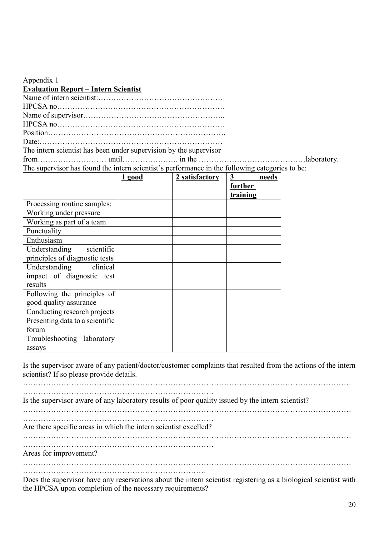| Appendix 1                                                                                     |        |                |                      |  |  |  |  |
|------------------------------------------------------------------------------------------------|--------|----------------|----------------------|--|--|--|--|
| <b>Evaluation Report - Intern Scientist</b>                                                    |        |                |                      |  |  |  |  |
|                                                                                                |        |                |                      |  |  |  |  |
|                                                                                                |        |                |                      |  |  |  |  |
|                                                                                                |        |                |                      |  |  |  |  |
|                                                                                                |        |                |                      |  |  |  |  |
|                                                                                                |        |                |                      |  |  |  |  |
|                                                                                                |        |                |                      |  |  |  |  |
| The intern scientist has been under supervision by the supervisor                              |        |                |                      |  |  |  |  |
|                                                                                                |        |                |                      |  |  |  |  |
| The supervisor has found the intern scientist's performance in the following categories to be: |        |                |                      |  |  |  |  |
|                                                                                                | 1 good | 2 satisfactory | $3^{\circ}$<br>needs |  |  |  |  |
|                                                                                                |        |                | further              |  |  |  |  |
|                                                                                                |        |                | training             |  |  |  |  |
| Processing routine samples:                                                                    |        |                |                      |  |  |  |  |
| Working under pressure                                                                         |        |                |                      |  |  |  |  |
| Working as part of a team                                                                      |        |                |                      |  |  |  |  |
| Punctuality                                                                                    |        |                |                      |  |  |  |  |
| Enthusiasm                                                                                     |        |                |                      |  |  |  |  |
| scientific<br>Understanding                                                                    |        |                |                      |  |  |  |  |
| principles of diagnostic tests                                                                 |        |                |                      |  |  |  |  |
| Understanding clinical                                                                         |        |                |                      |  |  |  |  |
| impact of diagnostic test                                                                      |        |                |                      |  |  |  |  |
| results                                                                                        |        |                |                      |  |  |  |  |
| Following the principles of                                                                    |        |                |                      |  |  |  |  |
| aaad quality occurrence                                                                        |        |                |                      |  |  |  |  |

good quality assurance Conducting research projects Presenting data to a scientific forum Troubleshooting laboratory assays

Is the supervisor aware of any patient/doctor/customer complaints that resulted from the actions of the intern scientist? If so please provide details.

………………………………………………………………………………………………………………… ………………………………………………………………… Is the supervisor aware of any laboratory results of poor quality issued by the intern scientist? ………………………………………………………………………………………………………………… ………………………………………………………………… Are there specific areas in which the intern scientist excelled? ………………………………………………………………………………………………………………… ………………………………………………………………… Areas for improvement? ………………………………………………………………………………………………………………… ……………………………………………………………… Does the supervisor have any reservations about the intern scientist registering as a biological scientist with

the HPCSA upon completion of the necessary requirements?